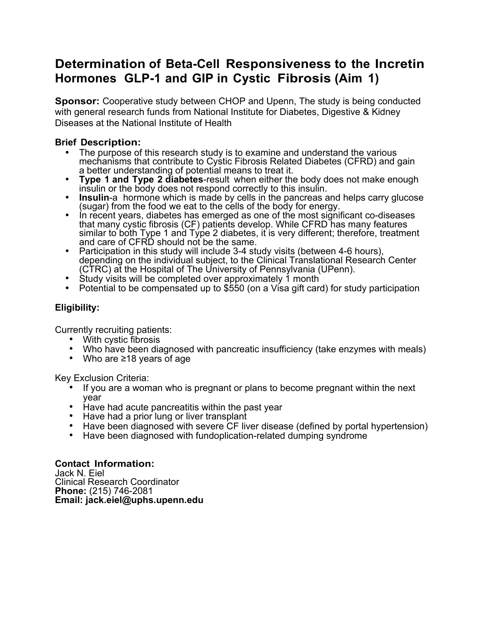# **Determination of Beta-Cell Responsiveness to the Incretin Hormones GLP-1 and GIP in Cystic Fibrosis (Aim 1)**

**Sponsor:** Cooperative study between CHOP and Upenn, The study is being conducted with general research funds from National Institute for Diabetes, Digestive & Kidney Diseases at the National Institute of Health

# **Brief Description:**

- The purpose of this research study is to examine and understand the various mechanisms that contribute to Cystic Fibrosis Related Diabetes (CFRD) and gain a better understanding of potential means to treat it.
- **Type 1 and Type 2 diabetes**-result when either the body does not make enough insulin or the body does not respond correctly to this insulin.
- **Insulin**-a hormone which is made by cells in the pancreas and helps carry glucose (sugar) from the food we eat to the cells of the body for energy.
- In recent years, diabetes has emerged as one of the most significant co-diseases that many cystic fibrosis (CF) patients develop. While CFRD has many features similar to both Type 1 and Type 2 diabetes, it is very different; therefore, treatment and care of CFRD should not be the same.
- Participation in this study will include 3-4 study visits (between 4-6 hours), depending on the individual subject, to the Clinical Translational Research Center (CTRC) at the Hospital of The University of Pennsylvania (UPenn).
- Study visits will be completed over approximately 1 month
- Potential to be compensated up to \$550 (on a Visa gift card) for study participation

# **Eligibility:**

Currently recruiting patients:

- With cystic fibrosis
- Who have been diagnosed with pancreatic insufficiency (take enzymes with meals)
- Who are ≥18 years of age

Key Exclusion Criteria:

- If you are a woman who is pregnant or plans to become pregnant within the next year
- Have had acute pancreatitis within the past year<br>• Have had a prior lung or liver transplant
- 
- Have been diagnosed with severe CF liver disease (defined by portal hypertension)
- Have been diagnosed with fundoplication-related dumping syndrome

**Contact Information:** Jack N. Eiel Clinical Research Coordinator **Phone:** (215) 746-2081 **Email: jack.eiel@uphs.upenn.edu**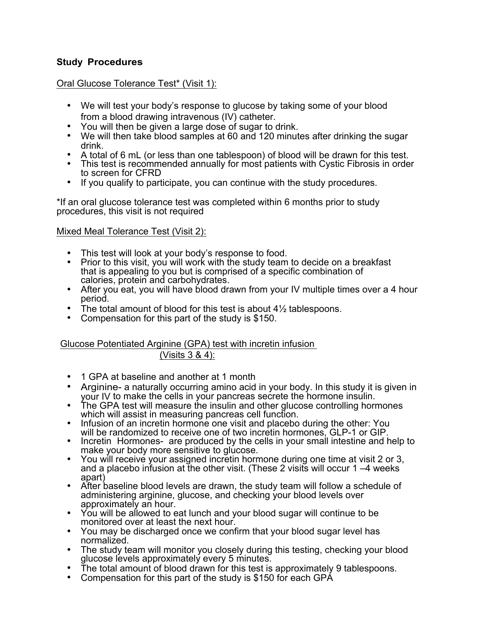# **Study Procedures**

## Oral Glucose Tolerance Test\* (Visit 1):

- We will test your body's response to glucose by taking some of your blood from a blood drawing intravenous (IV) catheter.
- You will then be given a large dose of sugar to drink.<br>• We will then take blood samples at 60 and 120 minut
- We will then take blood samples at 60 and 120 minutes after drinking the sugar drink.
- 
- A total of 6 mL (or less than one tablespoon) of blood will be drawn for this test.<br>This test is recommended annually for most patients with Cystic Fibrosis in order to screen for CFRD
- If you qualify to participate, you can continue with the study procedures.

\*If an oral glucose tolerance test was completed within 6 months prior to study procedures, this visit is not required

#### Mixed Meal Tolerance Test (Visit 2):

- 
- This test will look at your body's response to food.<br>• Prior to this visit, you will work with the study team to decide on a breakfast that is appealing to you but is comprised of a specific combination of calories, protein and carbohydrates.
- After you eat, you will have blood drawn from your IV multiple times over a 4 hour period.
- The total amount of blood for this test is about  $4\frac{1}{2}$  tablespoons.
- Compensation for this part of the study is \$150.

## Glucose Potentiated Arginine (GPA) test with incretin infusion

## (Visits 3 & 4):

- 1 GPA at baseline and another at 1 month
- Arginine- a naturally occurring amino acid in your body. In this study it is given in your IV to make the cells in your pancreas secrete the hormone insulin.
- The GPA test will measure the insulin and other glucose controlling hormones which will assist in measuring pancreas cell function.
- Infusion of an incretin hormone one visit and placebo during the other: You will be randomized to receive one of two incretin hormones, GLP-1 or GIP.
- Incretin Hormones- are produced by the cells in your small intestine and help to make your body more sensitive to glucose.
- You will receive your assigned incretin hormone during one time at visit 2 or 3, and a placebo infusion at the other visit. (These 2 visits will occur 1 –4 weeks apart)
- After baseline blood levels are drawn, the study team will follow a schedule of administering arginine, glucose, and checking your blood levels over approximately an hour.
- You will be allowed to eat lunch and your blood sugar will continue to be monitored over at least the next hour.
- You may be discharged once we confirm that your blood sugar level has normalized.
- The study team will monitor you closely during this testing, checking your blood glucose levels approximately every 5 minutes.
- The total amount of blood drawn for this test is approximately 9 tablespoons.<br>Compensation for this part of the study is \$150 for each GPA
-